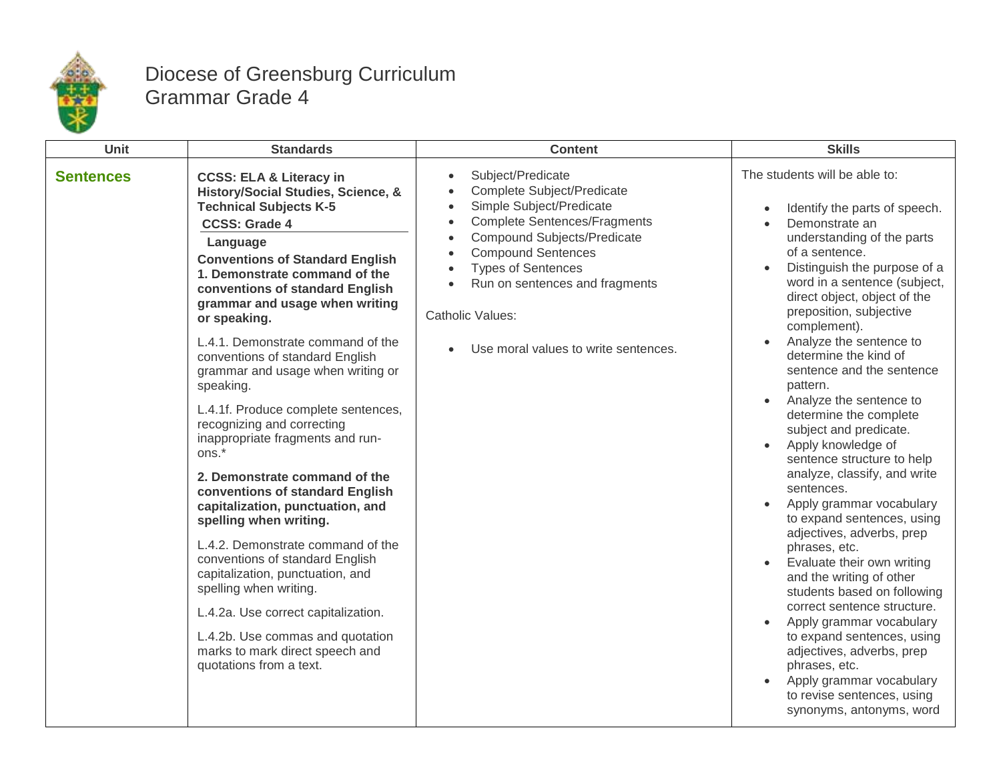

## Diocese of Greensburg Curriculum Grammar Grade 4

| Unit             | <b>Standards</b>                                                                                                                                                                                                                                                                                                                                                                                                                                                                                                                                                                                                                                                                                                                                                                                                                                                                                                                                                           | <b>Content</b>                                                                                                                                                                                                                                                                                                                                                                                                                  | <b>Skills</b>                                                                                                                                                                                                                                                                                                                                                                                                                                                                                                                                                                                                                                                                                                                                                                                                                                                                                                                                                                                                     |
|------------------|----------------------------------------------------------------------------------------------------------------------------------------------------------------------------------------------------------------------------------------------------------------------------------------------------------------------------------------------------------------------------------------------------------------------------------------------------------------------------------------------------------------------------------------------------------------------------------------------------------------------------------------------------------------------------------------------------------------------------------------------------------------------------------------------------------------------------------------------------------------------------------------------------------------------------------------------------------------------------|---------------------------------------------------------------------------------------------------------------------------------------------------------------------------------------------------------------------------------------------------------------------------------------------------------------------------------------------------------------------------------------------------------------------------------|-------------------------------------------------------------------------------------------------------------------------------------------------------------------------------------------------------------------------------------------------------------------------------------------------------------------------------------------------------------------------------------------------------------------------------------------------------------------------------------------------------------------------------------------------------------------------------------------------------------------------------------------------------------------------------------------------------------------------------------------------------------------------------------------------------------------------------------------------------------------------------------------------------------------------------------------------------------------------------------------------------------------|
| <b>Sentences</b> | <b>CCSS: ELA &amp; Literacy in</b><br>History/Social Studies, Science, &<br><b>Technical Subjects K-5</b><br><b>CCSS: Grade 4</b><br>Language<br><b>Conventions of Standard English</b><br>1. Demonstrate command of the<br>conventions of standard English<br>grammar and usage when writing<br>or speaking.<br>L.4.1. Demonstrate command of the<br>conventions of standard English<br>grammar and usage when writing or<br>speaking.<br>L.4.1f. Produce complete sentences,<br>recognizing and correcting<br>inappropriate fragments and run-<br>ons.*<br>2. Demonstrate command of the<br>conventions of standard English<br>capitalization, punctuation, and<br>spelling when writing.<br>L.4.2. Demonstrate command of the<br>conventions of standard English<br>capitalization, punctuation, and<br>spelling when writing.<br>L.4.2a. Use correct capitalization.<br>L.4.2b. Use commas and quotation<br>marks to mark direct speech and<br>quotations from a text. | Subject/Predicate<br>$\bullet$<br><b>Complete Subject/Predicate</b><br>$\bullet$<br>Simple Subject/Predicate<br>$\bullet$<br><b>Complete Sentences/Fragments</b><br>$\bullet$<br><b>Compound Subjects/Predicate</b><br>$\bullet$<br><b>Compound Sentences</b><br>$\bullet$<br><b>Types of Sentences</b><br>$\bullet$<br>Run on sentences and fragments<br>$\bullet$<br>Catholic Values:<br>Use moral values to write sentences. | The students will be able to:<br>Identify the parts of speech.<br>Demonstrate an<br>$\bullet$<br>understanding of the parts<br>of a sentence.<br>Distinguish the purpose of a<br>word in a sentence (subject,<br>direct object, object of the<br>preposition, subjective<br>complement).<br>Analyze the sentence to<br>determine the kind of<br>sentence and the sentence<br>pattern.<br>Analyze the sentence to<br>$\bullet$<br>determine the complete<br>subject and predicate.<br>Apply knowledge of<br>sentence structure to help<br>analyze, classify, and write<br>sentences.<br>Apply grammar vocabulary<br>to expand sentences, using<br>adjectives, adverbs, prep<br>phrases, etc.<br>Evaluate their own writing<br>and the writing of other<br>students based on following<br>correct sentence structure.<br>Apply grammar vocabulary<br>to expand sentences, using<br>adjectives, adverbs, prep<br>phrases, etc.<br>Apply grammar vocabulary<br>to revise sentences, using<br>synonyms, antonyms, word |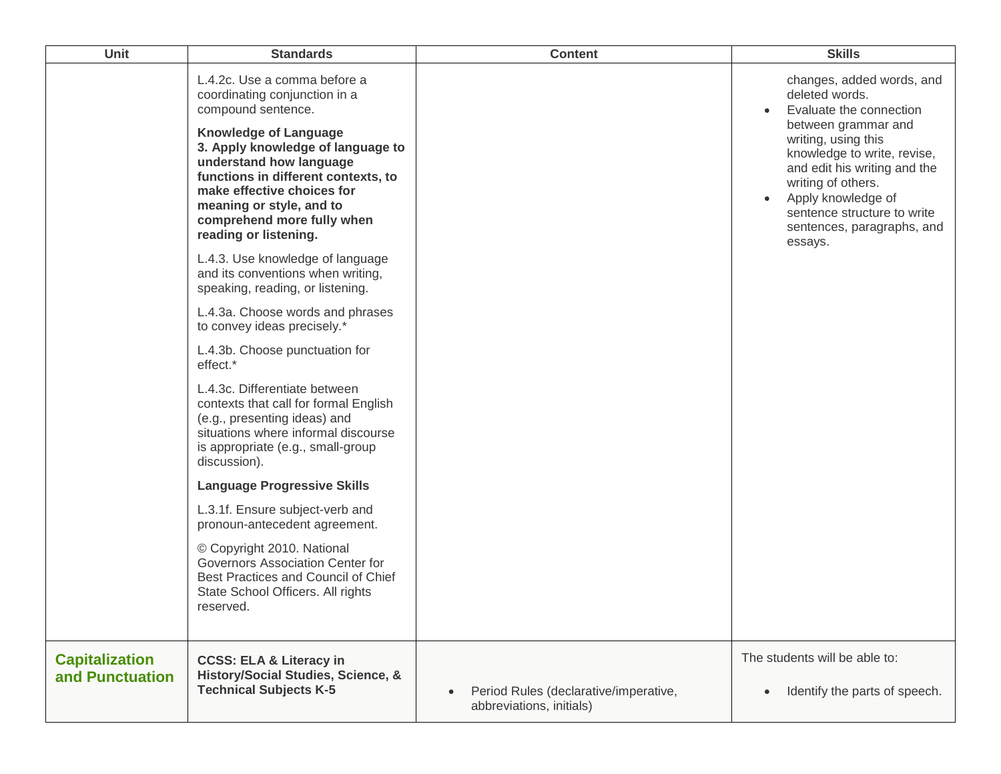| Unit                                     | <b>Standards</b>                                                                                                                                                                                                                                                                                                                            | <b>Content</b>                                                    | <b>Skills</b>                                                                                                                                                                                                                                                                                           |
|------------------------------------------|---------------------------------------------------------------------------------------------------------------------------------------------------------------------------------------------------------------------------------------------------------------------------------------------------------------------------------------------|-------------------------------------------------------------------|---------------------------------------------------------------------------------------------------------------------------------------------------------------------------------------------------------------------------------------------------------------------------------------------------------|
|                                          | L.4.2c. Use a comma before a<br>coordinating conjunction in a<br>compound sentence.<br><b>Knowledge of Language</b><br>3. Apply knowledge of language to<br>understand how language<br>functions in different contexts, to<br>make effective choices for<br>meaning or style, and to<br>comprehend more fully when<br>reading or listening. |                                                                   | changes, added words, and<br>deleted words.<br>Evaluate the connection<br>between grammar and<br>writing, using this<br>knowledge to write, revise,<br>and edit his writing and the<br>writing of others.<br>Apply knowledge of<br>sentence structure to write<br>sentences, paragraphs, and<br>essays. |
|                                          | L.4.3. Use knowledge of language<br>and its conventions when writing,<br>speaking, reading, or listening.                                                                                                                                                                                                                                   |                                                                   |                                                                                                                                                                                                                                                                                                         |
|                                          | L.4.3a. Choose words and phrases<br>to convey ideas precisely.*                                                                                                                                                                                                                                                                             |                                                                   |                                                                                                                                                                                                                                                                                                         |
|                                          | L.4.3b. Choose punctuation for<br>effect.*                                                                                                                                                                                                                                                                                                  |                                                                   |                                                                                                                                                                                                                                                                                                         |
|                                          | L.4.3c. Differentiate between<br>contexts that call for formal English<br>(e.g., presenting ideas) and<br>situations where informal discourse<br>is appropriate (e.g., small-group<br>discussion).                                                                                                                                          |                                                                   |                                                                                                                                                                                                                                                                                                         |
|                                          | <b>Language Progressive Skills</b>                                                                                                                                                                                                                                                                                                          |                                                                   |                                                                                                                                                                                                                                                                                                         |
|                                          | L.3.1f. Ensure subject-verb and<br>pronoun-antecedent agreement.                                                                                                                                                                                                                                                                            |                                                                   |                                                                                                                                                                                                                                                                                                         |
|                                          | © Copyright 2010. National<br>Governors Association Center for<br>Best Practices and Council of Chief<br>State School Officers. All rights<br>reserved.                                                                                                                                                                                     |                                                                   |                                                                                                                                                                                                                                                                                                         |
| <b>Capitalization</b><br>and Punctuation | <b>CCSS: ELA &amp; Literacy in</b><br>History/Social Studies, Science, &<br><b>Technical Subjects K-5</b>                                                                                                                                                                                                                                   | Period Rules (declarative/imperative,<br>abbreviations, initials) | The students will be able to:<br>Identify the parts of speech.                                                                                                                                                                                                                                          |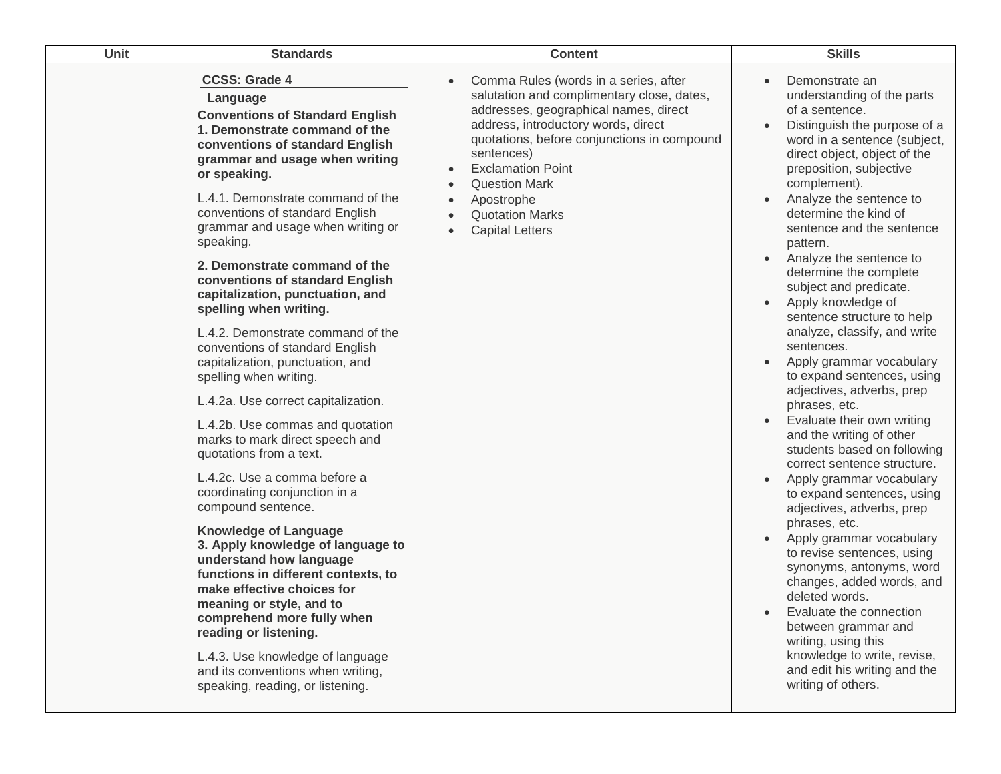| Unit | <b>Standards</b>                                                                                                                                                                                                                                                                                                                                                                                                                                                                                                                                                                                                                                                                                                                                                                                                                                                                                                                                                                                                                                                                                                                                                                                        | <b>Content</b>                                                                                                                                                                                                                                                                                                                                                      | <b>Skills</b>                                                                                                                                                                                                                                                                                                                                                                                                                                                                                                                                                                                                                                                                                                                                                                                                                                                                                                                                                                                                                                                                                                                      |
|------|---------------------------------------------------------------------------------------------------------------------------------------------------------------------------------------------------------------------------------------------------------------------------------------------------------------------------------------------------------------------------------------------------------------------------------------------------------------------------------------------------------------------------------------------------------------------------------------------------------------------------------------------------------------------------------------------------------------------------------------------------------------------------------------------------------------------------------------------------------------------------------------------------------------------------------------------------------------------------------------------------------------------------------------------------------------------------------------------------------------------------------------------------------------------------------------------------------|---------------------------------------------------------------------------------------------------------------------------------------------------------------------------------------------------------------------------------------------------------------------------------------------------------------------------------------------------------------------|------------------------------------------------------------------------------------------------------------------------------------------------------------------------------------------------------------------------------------------------------------------------------------------------------------------------------------------------------------------------------------------------------------------------------------------------------------------------------------------------------------------------------------------------------------------------------------------------------------------------------------------------------------------------------------------------------------------------------------------------------------------------------------------------------------------------------------------------------------------------------------------------------------------------------------------------------------------------------------------------------------------------------------------------------------------------------------------------------------------------------------|
|      | <b>CCSS: Grade 4</b><br>Language<br><b>Conventions of Standard English</b><br>1. Demonstrate command of the<br>conventions of standard English<br>grammar and usage when writing<br>or speaking.<br>L.4.1. Demonstrate command of the<br>conventions of standard English<br>grammar and usage when writing or<br>speaking.<br>2. Demonstrate command of the<br>conventions of standard English<br>capitalization, punctuation, and<br>spelling when writing.<br>L.4.2. Demonstrate command of the<br>conventions of standard English<br>capitalization, punctuation, and<br>spelling when writing.<br>L.4.2a. Use correct capitalization.<br>L.4.2b. Use commas and quotation<br>marks to mark direct speech and<br>quotations from a text.<br>L.4.2c. Use a comma before a<br>coordinating conjunction in a<br>compound sentence.<br><b>Knowledge of Language</b><br>3. Apply knowledge of language to<br>understand how language<br>functions in different contexts, to<br>make effective choices for<br>meaning or style, and to<br>comprehend more fully when<br>reading or listening.<br>L.4.3. Use knowledge of language<br>and its conventions when writing,<br>speaking, reading, or listening. | Comma Rules (words in a series, after<br>$\bullet$<br>salutation and complimentary close, dates,<br>addresses, geographical names, direct<br>address, introductory words, direct<br>quotations, before conjunctions in compound<br>sentences)<br><b>Exclamation Point</b><br><b>Question Mark</b><br>Apostrophe<br><b>Quotation Marks</b><br><b>Capital Letters</b> | Demonstrate an<br>understanding of the parts<br>of a sentence.<br>Distinguish the purpose of a<br>word in a sentence (subject,<br>direct object, object of the<br>preposition, subjective<br>complement).<br>Analyze the sentence to<br>determine the kind of<br>sentence and the sentence<br>pattern.<br>Analyze the sentence to<br>determine the complete<br>subject and predicate.<br>Apply knowledge of<br>sentence structure to help<br>analyze, classify, and write<br>sentences.<br>Apply grammar vocabulary<br>to expand sentences, using<br>adjectives, adverbs, prep<br>phrases, etc.<br>Evaluate their own writing<br>and the writing of other<br>students based on following<br>correct sentence structure.<br>Apply grammar vocabulary<br>to expand sentences, using<br>adjectives, adverbs, prep<br>phrases, etc.<br>Apply grammar vocabulary<br>to revise sentences, using<br>synonyms, antonyms, word<br>changes, added words, and<br>deleted words.<br>Evaluate the connection<br>between grammar and<br>writing, using this<br>knowledge to write, revise,<br>and edit his writing and the<br>writing of others. |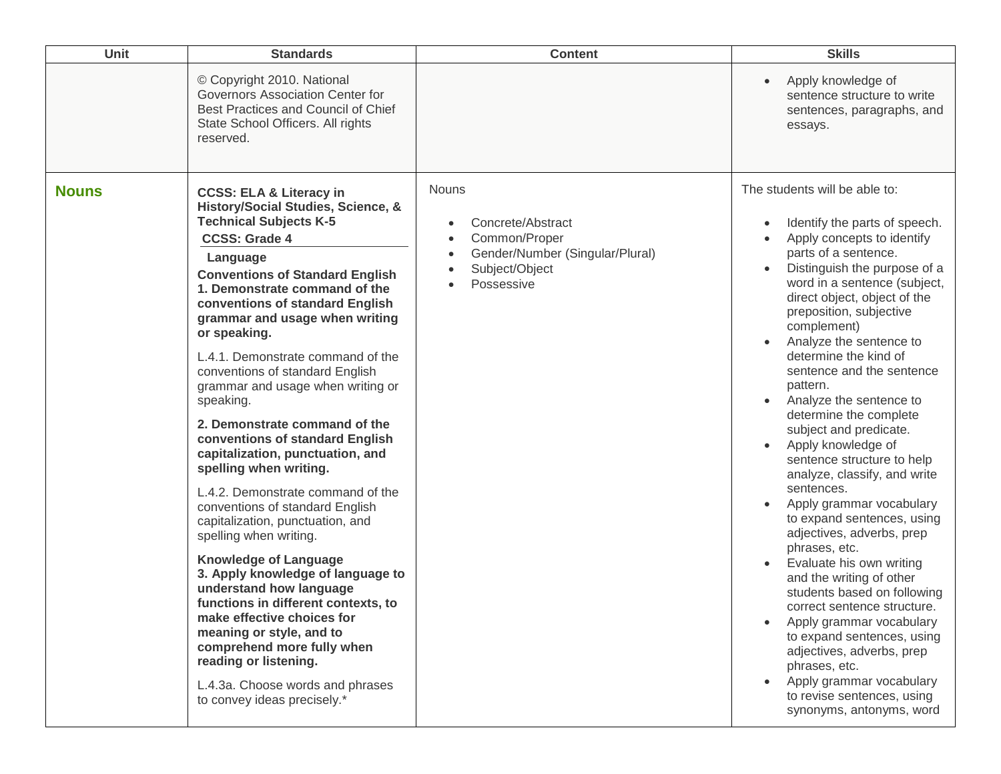| Unit         | <b>Standards</b>                                                                                                                                                                                                                                                                                                                                                                                                                                                                                                                                                                                                                                                                                                                                                                                                                                                                                                                                                                                                                           | <b>Content</b>                                                                                                                                  | <b>Skills</b>                                                                                                                                                                                                                                                                                                                                                                                                                                                                                                                                                                                                                                                                                                                                                                                                                                                                                                                                                                         |
|--------------|--------------------------------------------------------------------------------------------------------------------------------------------------------------------------------------------------------------------------------------------------------------------------------------------------------------------------------------------------------------------------------------------------------------------------------------------------------------------------------------------------------------------------------------------------------------------------------------------------------------------------------------------------------------------------------------------------------------------------------------------------------------------------------------------------------------------------------------------------------------------------------------------------------------------------------------------------------------------------------------------------------------------------------------------|-------------------------------------------------------------------------------------------------------------------------------------------------|---------------------------------------------------------------------------------------------------------------------------------------------------------------------------------------------------------------------------------------------------------------------------------------------------------------------------------------------------------------------------------------------------------------------------------------------------------------------------------------------------------------------------------------------------------------------------------------------------------------------------------------------------------------------------------------------------------------------------------------------------------------------------------------------------------------------------------------------------------------------------------------------------------------------------------------------------------------------------------------|
|              | © Copyright 2010. National<br>Governors Association Center for<br>Best Practices and Council of Chief<br>State School Officers. All rights<br>reserved.                                                                                                                                                                                                                                                                                                                                                                                                                                                                                                                                                                                                                                                                                                                                                                                                                                                                                    |                                                                                                                                                 | Apply knowledge of<br>$\bullet$<br>sentence structure to write<br>sentences, paragraphs, and<br>essays.                                                                                                                                                                                                                                                                                                                                                                                                                                                                                                                                                                                                                                                                                                                                                                                                                                                                               |
| <b>Nouns</b> | <b>CCSS: ELA &amp; Literacy in</b><br>History/Social Studies, Science, &<br><b>Technical Subjects K-5</b><br><b>CCSS: Grade 4</b><br>Language<br><b>Conventions of Standard English</b><br>1. Demonstrate command of the<br>conventions of standard English<br>grammar and usage when writing<br>or speaking.<br>L.4.1. Demonstrate command of the<br>conventions of standard English<br>grammar and usage when writing or<br>speaking.<br>2. Demonstrate command of the<br>conventions of standard English<br>capitalization, punctuation, and<br>spelling when writing.<br>L.4.2. Demonstrate command of the<br>conventions of standard English<br>capitalization, punctuation, and<br>spelling when writing.<br><b>Knowledge of Language</b><br>3. Apply knowledge of language to<br>understand how language<br>functions in different contexts, to<br>make effective choices for<br>meaning or style, and to<br>comprehend more fully when<br>reading or listening.<br>L.4.3a. Choose words and phrases<br>to convey ideas precisely.* | <b>Nouns</b><br>Concrete/Abstract<br>$\bullet$<br>Common/Proper<br>Gender/Number (Singular/Plural)<br>$\bullet$<br>Subject/Object<br>Possessive | The students will be able to:<br>Identify the parts of speech.<br>Apply concepts to identify<br>parts of a sentence.<br>Distinguish the purpose of a<br>word in a sentence (subject,<br>direct object, object of the<br>preposition, subjective<br>complement)<br>Analyze the sentence to<br>determine the kind of<br>sentence and the sentence<br>pattern.<br>Analyze the sentence to<br>determine the complete<br>subject and predicate.<br>Apply knowledge of<br>$\bullet$<br>sentence structure to help<br>analyze, classify, and write<br>sentences.<br>Apply grammar vocabulary<br>to expand sentences, using<br>adjectives, adverbs, prep<br>phrases, etc.<br>Evaluate his own writing<br>and the writing of other<br>students based on following<br>correct sentence structure.<br>Apply grammar vocabulary<br>to expand sentences, using<br>adjectives, adverbs, prep<br>phrases, etc.<br>Apply grammar vocabulary<br>to revise sentences, using<br>synonyms, antonyms, word |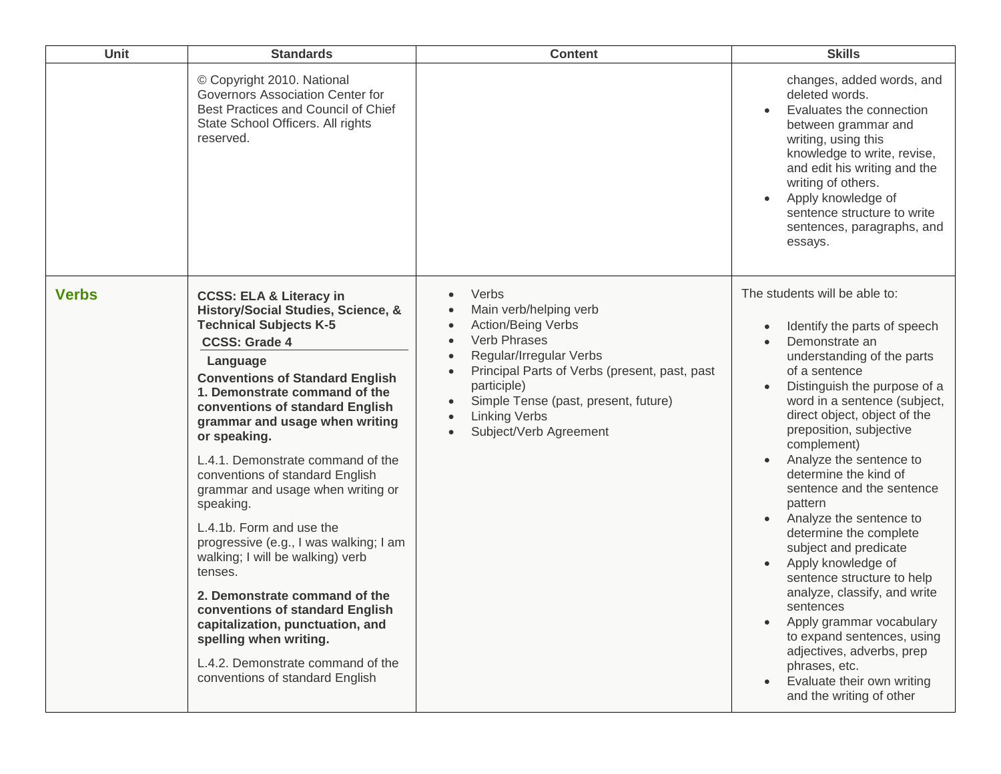| Unit         | <b>Standards</b>                                                                                                                                                                                                                                                                                                                                                                                                                                                                                                                                                                                                                                                                                                                                                       | <b>Content</b>                                                                                                                                                                                                                                                                                                                                               | <b>Skills</b>                                                                                                                                                                                                                                                                                                                                                                                                                                                                                                                                                                                                                                                                                                                                                             |
|--------------|------------------------------------------------------------------------------------------------------------------------------------------------------------------------------------------------------------------------------------------------------------------------------------------------------------------------------------------------------------------------------------------------------------------------------------------------------------------------------------------------------------------------------------------------------------------------------------------------------------------------------------------------------------------------------------------------------------------------------------------------------------------------|--------------------------------------------------------------------------------------------------------------------------------------------------------------------------------------------------------------------------------------------------------------------------------------------------------------------------------------------------------------|---------------------------------------------------------------------------------------------------------------------------------------------------------------------------------------------------------------------------------------------------------------------------------------------------------------------------------------------------------------------------------------------------------------------------------------------------------------------------------------------------------------------------------------------------------------------------------------------------------------------------------------------------------------------------------------------------------------------------------------------------------------------------|
|              | © Copyright 2010. National<br>Governors Association Center for<br>Best Practices and Council of Chief<br>State School Officers. All rights<br>reserved.                                                                                                                                                                                                                                                                                                                                                                                                                                                                                                                                                                                                                |                                                                                                                                                                                                                                                                                                                                                              | changes, added words, and<br>deleted words.<br>Evaluates the connection<br>between grammar and<br>writing, using this<br>knowledge to write, revise,<br>and edit his writing and the<br>writing of others.<br>Apply knowledge of<br>sentence structure to write<br>sentences, paragraphs, and<br>essays.                                                                                                                                                                                                                                                                                                                                                                                                                                                                  |
| <b>Verbs</b> | <b>CCSS: ELA &amp; Literacy in</b><br>History/Social Studies, Science, &<br><b>Technical Subjects K-5</b><br><b>CCSS: Grade 4</b><br>Language<br><b>Conventions of Standard English</b><br>1. Demonstrate command of the<br>conventions of standard English<br>grammar and usage when writing<br>or speaking.<br>L.4.1. Demonstrate command of the<br>conventions of standard English<br>grammar and usage when writing or<br>speaking.<br>L.4.1b. Form and use the<br>progressive (e.g., I was walking; I am<br>walking; I will be walking) verb<br>tenses.<br>2. Demonstrate command of the<br>conventions of standard English<br>capitalization, punctuation, and<br>spelling when writing.<br>L.4.2. Demonstrate command of the<br>conventions of standard English | Verbs<br>$\bullet$<br>Main verb/helping verb<br><b>Action/Being Verbs</b><br>$\bullet$<br>Verb Phrases<br>$\bullet$<br>Regular/Irregular Verbs<br>$\bullet$<br>Principal Parts of Verbs (present, past, past<br>$\bullet$<br>participle)<br>Simple Tense (past, present, future)<br>$\bullet$<br><b>Linking Verbs</b><br>$\bullet$<br>Subject/Verb Agreement | The students will be able to:<br>Identify the parts of speech<br>$\bullet$<br>Demonstrate an<br>understanding of the parts<br>of a sentence<br>Distinguish the purpose of a<br>word in a sentence (subject,<br>direct object, object of the<br>preposition, subjective<br>complement)<br>Analyze the sentence to<br>determine the kind of<br>sentence and the sentence<br>pattern<br>Analyze the sentence to<br>determine the complete<br>subject and predicate<br>Apply knowledge of<br>$\bullet$<br>sentence structure to help<br>analyze, classify, and write<br>sentences<br>Apply grammar vocabulary<br>$\bullet$<br>to expand sentences, using<br>adjectives, adverbs, prep<br>phrases, etc.<br>Evaluate their own writing<br>$\bullet$<br>and the writing of other |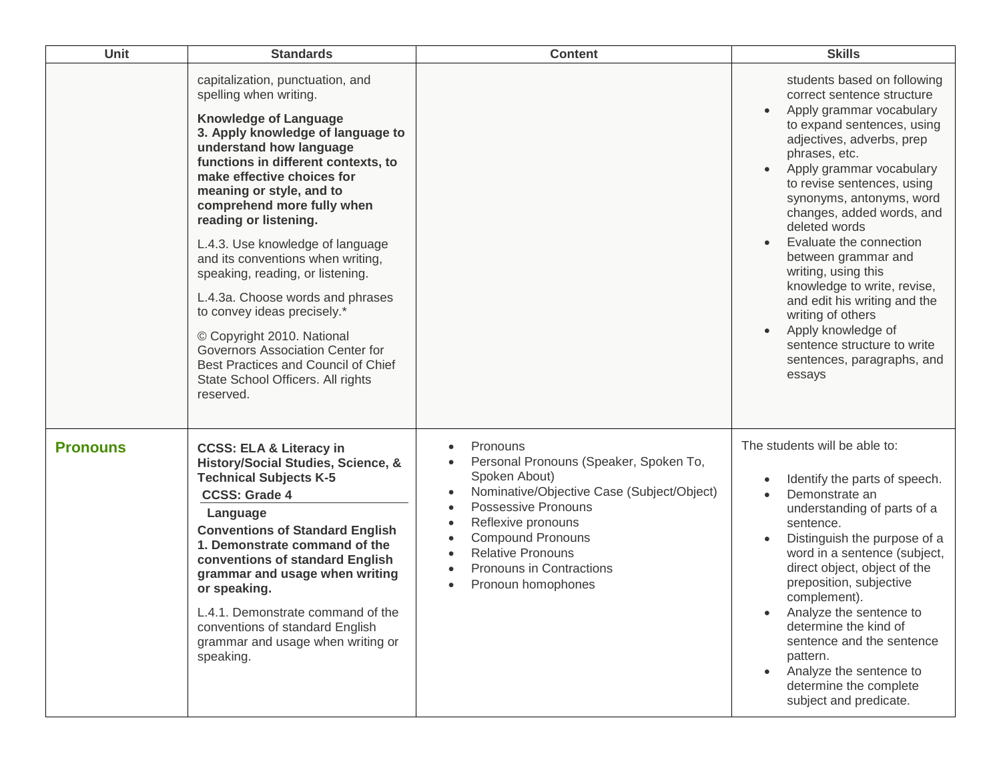| <b>Unit</b>     | <b>Standards</b>                                                                                                                                                                                                                                                                                                                                                                                                                        | <b>Content</b>                                                                                                                                                                                                                                                                                                                            | <b>Skills</b>                                                                                                                                                                                                                                                                                                                                                                                                                                       |
|-----------------|-----------------------------------------------------------------------------------------------------------------------------------------------------------------------------------------------------------------------------------------------------------------------------------------------------------------------------------------------------------------------------------------------------------------------------------------|-------------------------------------------------------------------------------------------------------------------------------------------------------------------------------------------------------------------------------------------------------------------------------------------------------------------------------------------|-----------------------------------------------------------------------------------------------------------------------------------------------------------------------------------------------------------------------------------------------------------------------------------------------------------------------------------------------------------------------------------------------------------------------------------------------------|
|                 | capitalization, punctuation, and<br>spelling when writing.<br><b>Knowledge of Language</b><br>3. Apply knowledge of language to<br>understand how language<br>functions in different contexts, to<br>make effective choices for<br>meaning or style, and to<br>comprehend more fully when<br>reading or listening.<br>L.4.3. Use knowledge of language                                                                                  |                                                                                                                                                                                                                                                                                                                                           | students based on following<br>correct sentence structure<br>Apply grammar vocabulary<br>to expand sentences, using<br>adjectives, adverbs, prep<br>phrases, etc.<br>Apply grammar vocabulary<br>to revise sentences, using<br>synonyms, antonyms, word<br>changes, added words, and<br>deleted words<br>Evaluate the connection                                                                                                                    |
|                 | and its conventions when writing,<br>speaking, reading, or listening.<br>L.4.3a. Choose words and phrases<br>to convey ideas precisely.*                                                                                                                                                                                                                                                                                                |                                                                                                                                                                                                                                                                                                                                           | between grammar and<br>writing, using this<br>knowledge to write, revise,<br>and edit his writing and the<br>writing of others                                                                                                                                                                                                                                                                                                                      |
|                 | © Copyright 2010. National<br>Governors Association Center for<br>Best Practices and Council of Chief<br>State School Officers. All rights<br>reserved.                                                                                                                                                                                                                                                                                 |                                                                                                                                                                                                                                                                                                                                           | Apply knowledge of<br>sentence structure to write<br>sentences, paragraphs, and<br>essays                                                                                                                                                                                                                                                                                                                                                           |
| <b>Pronouns</b> | <b>CCSS: ELA &amp; Literacy in</b><br>History/Social Studies, Science, &<br><b>Technical Subjects K-5</b><br><b>CCSS: Grade 4</b><br>Language<br><b>Conventions of Standard English</b><br>1. Demonstrate command of the<br>conventions of standard English<br>grammar and usage when writing<br>or speaking.<br>L.4.1. Demonstrate command of the<br>conventions of standard English<br>grammar and usage when writing or<br>speaking. | Pronouns<br>$\bullet$<br>Personal Pronouns (Speaker, Spoken To,<br>$\bullet$<br>Spoken About)<br>Nominative/Objective Case (Subject/Object)<br>$\bullet$<br>Possessive Pronouns<br>$\bullet$<br>Reflexive pronouns<br><b>Compound Pronouns</b><br><b>Relative Pronouns</b><br>Pronouns in Contractions<br>Pronoun homophones<br>$\bullet$ | The students will be able to:<br>Identify the parts of speech.<br>Demonstrate an<br>understanding of parts of a<br>sentence.<br>Distinguish the purpose of a<br>word in a sentence (subject,<br>direct object, object of the<br>preposition, subjective<br>complement).<br>Analyze the sentence to<br>determine the kind of<br>sentence and the sentence<br>pattern.<br>Analyze the sentence to<br>determine the complete<br>subject and predicate. |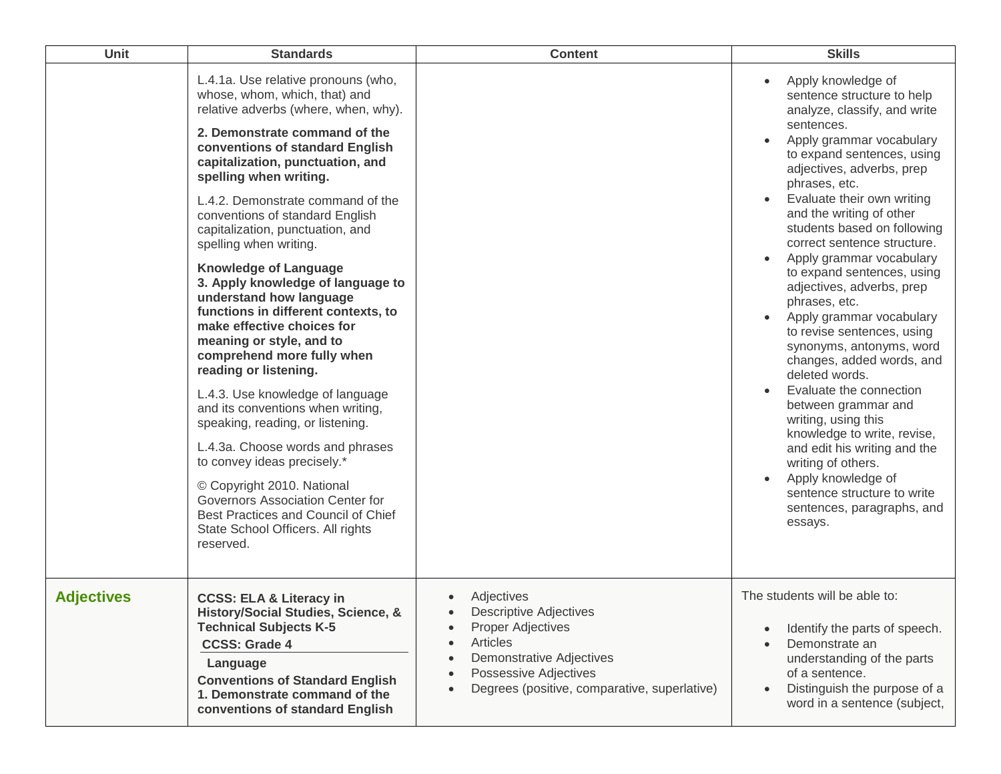| <b>Unit</b>       | <b>Standards</b>                                                                                                                                                                                                                                                                                                                                                                                                                                                                                                                                                                                                                                                                                                                                                                                                                                                                                                                                                                        | <b>Content</b>                                                                                                                                                                                                                                                                                    | <b>Skills</b>                                                                                                                                                                                                                                                                                                                                                                                                                                                                                                                                                                                                                                                                                                                                                                                                                           |
|-------------------|-----------------------------------------------------------------------------------------------------------------------------------------------------------------------------------------------------------------------------------------------------------------------------------------------------------------------------------------------------------------------------------------------------------------------------------------------------------------------------------------------------------------------------------------------------------------------------------------------------------------------------------------------------------------------------------------------------------------------------------------------------------------------------------------------------------------------------------------------------------------------------------------------------------------------------------------------------------------------------------------|---------------------------------------------------------------------------------------------------------------------------------------------------------------------------------------------------------------------------------------------------------------------------------------------------|-----------------------------------------------------------------------------------------------------------------------------------------------------------------------------------------------------------------------------------------------------------------------------------------------------------------------------------------------------------------------------------------------------------------------------------------------------------------------------------------------------------------------------------------------------------------------------------------------------------------------------------------------------------------------------------------------------------------------------------------------------------------------------------------------------------------------------------------|
|                   | L.4.1a. Use relative pronouns (who,<br>whose, whom, which, that) and<br>relative adverbs (where, when, why).<br>2. Demonstrate command of the<br>conventions of standard English<br>capitalization, punctuation, and<br>spelling when writing.<br>L.4.2. Demonstrate command of the<br>conventions of standard English<br>capitalization, punctuation, and<br>spelling when writing.<br><b>Knowledge of Language</b><br>3. Apply knowledge of language to<br>understand how language<br>functions in different contexts, to<br>make effective choices for<br>meaning or style, and to<br>comprehend more fully when<br>reading or listening.<br>L.4.3. Use knowledge of language<br>and its conventions when writing,<br>speaking, reading, or listening.<br>L.4.3a. Choose words and phrases<br>to convey ideas precisely.*<br>© Copyright 2010. National<br>Governors Association Center for<br>Best Practices and Council of Chief<br>State School Officers. All rights<br>reserved. |                                                                                                                                                                                                                                                                                                   | Apply knowledge of<br>sentence structure to help<br>analyze, classify, and write<br>sentences.<br>Apply grammar vocabulary<br>to expand sentences, using<br>adjectives, adverbs, prep<br>phrases, etc.<br>Evaluate their own writing<br>and the writing of other<br>students based on following<br>correct sentence structure.<br>Apply grammar vocabulary<br>to expand sentences, using<br>adjectives, adverbs, prep<br>phrases, etc.<br>Apply grammar vocabulary<br>to revise sentences, using<br>synonyms, antonyms, word<br>changes, added words, and<br>deleted words.<br>Evaluate the connection<br>between grammar and<br>writing, using this<br>knowledge to write, revise,<br>and edit his writing and the<br>writing of others.<br>Apply knowledge of<br>sentence structure to write<br>sentences, paragraphs, and<br>essays. |
| <b>Adjectives</b> | <b>CCSS: ELA &amp; Literacy in</b><br>History/Social Studies, Science, &<br><b>Technical Subjects K-5</b><br><b>CCSS: Grade 4</b><br>Language<br><b>Conventions of Standard English</b><br>1. Demonstrate command of the<br>conventions of standard English                                                                                                                                                                                                                                                                                                                                                                                                                                                                                                                                                                                                                                                                                                                             | Adjectives<br>$\bullet$<br><b>Descriptive Adjectives</b><br>$\bullet$<br><b>Proper Adjectives</b><br>$\bullet$<br>Articles<br>$\bullet$<br><b>Demonstrative Adjectives</b><br>$\bullet$<br><b>Possessive Adjectives</b><br>$\bullet$<br>Degrees (positive, comparative, superlative)<br>$\bullet$ | The students will be able to:<br>Identify the parts of speech.<br>Demonstrate an<br>understanding of the parts<br>of a sentence.<br>Distinguish the purpose of a<br>word in a sentence (subject,                                                                                                                                                                                                                                                                                                                                                                                                                                                                                                                                                                                                                                        |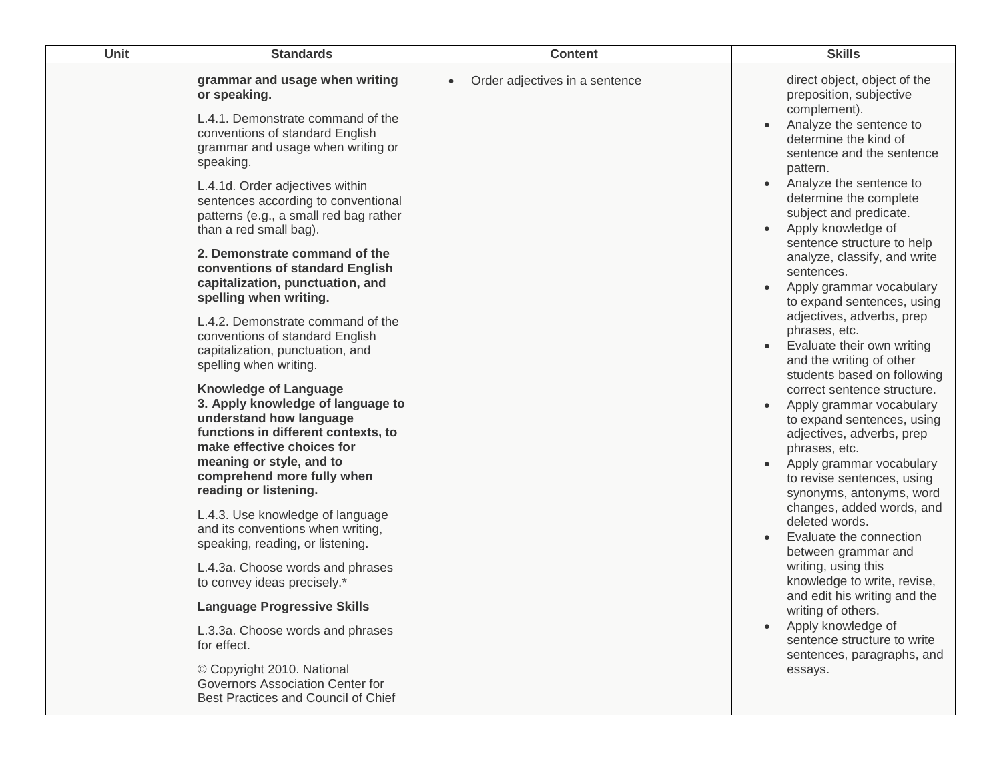| Unit | <b>Standards</b>                                                                                                                                                                                                                                                                                                                                                                                                                                                                                                                                                                                                                                                                                                                                                                                                                                                                                                                                                                                                                                                                                                                                                                                                                         | <b>Content</b>                              | <b>Skills</b>                                                                                                                                                                                                                                                                                                                                                                                                                                                                                                                                                                                                                                                                                                                                                                                                                                                                                                                                                                                                                                                                                  |
|------|------------------------------------------------------------------------------------------------------------------------------------------------------------------------------------------------------------------------------------------------------------------------------------------------------------------------------------------------------------------------------------------------------------------------------------------------------------------------------------------------------------------------------------------------------------------------------------------------------------------------------------------------------------------------------------------------------------------------------------------------------------------------------------------------------------------------------------------------------------------------------------------------------------------------------------------------------------------------------------------------------------------------------------------------------------------------------------------------------------------------------------------------------------------------------------------------------------------------------------------|---------------------------------------------|------------------------------------------------------------------------------------------------------------------------------------------------------------------------------------------------------------------------------------------------------------------------------------------------------------------------------------------------------------------------------------------------------------------------------------------------------------------------------------------------------------------------------------------------------------------------------------------------------------------------------------------------------------------------------------------------------------------------------------------------------------------------------------------------------------------------------------------------------------------------------------------------------------------------------------------------------------------------------------------------------------------------------------------------------------------------------------------------|
|      | grammar and usage when writing<br>or speaking.<br>L.4.1. Demonstrate command of the<br>conventions of standard English<br>grammar and usage when writing or<br>speaking.<br>L.4.1d. Order adjectives within<br>sentences according to conventional<br>patterns (e.g., a small red bag rather<br>than a red small bag).<br>2. Demonstrate command of the<br>conventions of standard English<br>capitalization, punctuation, and<br>spelling when writing.<br>L.4.2. Demonstrate command of the<br>conventions of standard English<br>capitalization, punctuation, and<br>spelling when writing.<br><b>Knowledge of Language</b><br>3. Apply knowledge of language to<br>understand how language<br>functions in different contexts, to<br>make effective choices for<br>meaning or style, and to<br>comprehend more fully when<br>reading or listening.<br>L.4.3. Use knowledge of language<br>and its conventions when writing,<br>speaking, reading, or listening.<br>L.4.3a. Choose words and phrases<br>to convey ideas precisely.*<br><b>Language Progressive Skills</b><br>L.3.3a. Choose words and phrases<br>for effect.<br>© Copyright 2010. National<br>Governors Association Center for<br>Best Practices and Council of Chief | Order adjectives in a sentence<br>$\bullet$ | direct object, object of the<br>preposition, subjective<br>complement).<br>Analyze the sentence to<br>determine the kind of<br>sentence and the sentence<br>pattern.<br>Analyze the sentence to<br>determine the complete<br>subject and predicate.<br>Apply knowledge of<br>sentence structure to help<br>analyze, classify, and write<br>sentences.<br>Apply grammar vocabulary<br>to expand sentences, using<br>adjectives, adverbs, prep<br>phrases, etc.<br>Evaluate their own writing<br>and the writing of other<br>students based on following<br>correct sentence structure.<br>Apply grammar vocabulary<br>to expand sentences, using<br>adjectives, adverbs, prep<br>phrases, etc.<br>Apply grammar vocabulary<br>to revise sentences, using<br>synonyms, antonyms, word<br>changes, added words, and<br>deleted words.<br>Evaluate the connection<br>between grammar and<br>writing, using this<br>knowledge to write, revise,<br>and edit his writing and the<br>writing of others.<br>Apply knowledge of<br>sentence structure to write<br>sentences, paragraphs, and<br>essays. |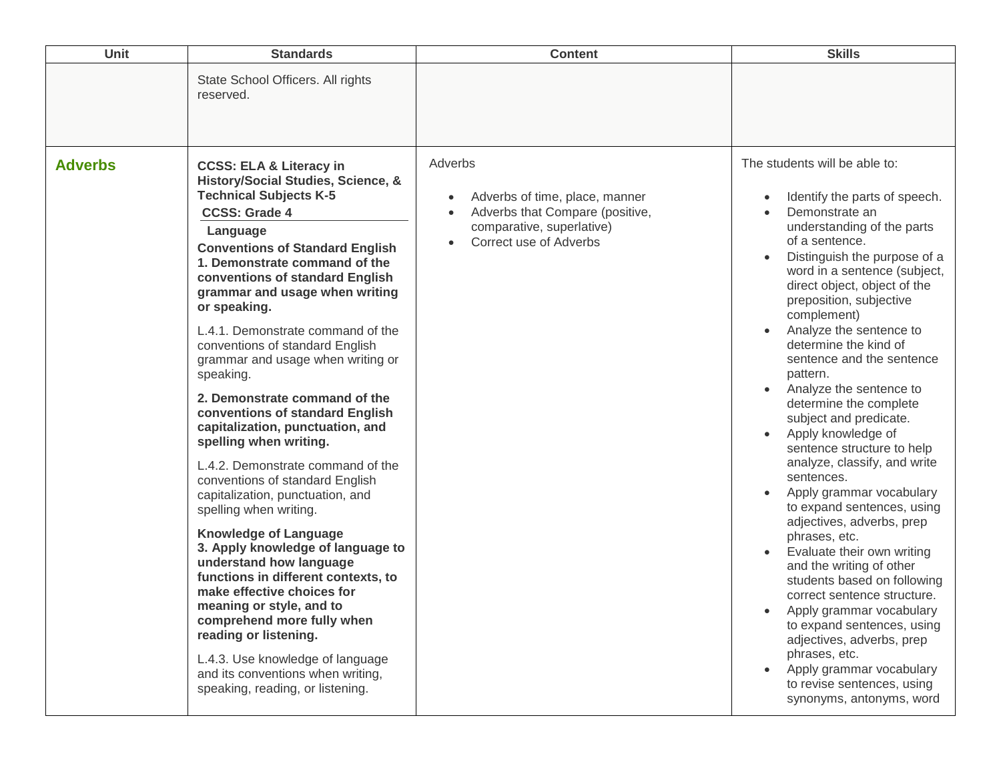| Unit           | <b>Standards</b>                                                                                                                                                                                                                                                                                                                                                                                                                                                                                                                                                                                                                                                                                                                                                                                                                                                                                                                                                                                                                                                                     | <b>Content</b>                                                                                                                                                | <b>Skills</b>                                                                                                                                                                                                                                                                                                                                                                                                                                                                                                                                                                                                                                                                                                                                                                                                                                                                                                                                                                                       |
|----------------|--------------------------------------------------------------------------------------------------------------------------------------------------------------------------------------------------------------------------------------------------------------------------------------------------------------------------------------------------------------------------------------------------------------------------------------------------------------------------------------------------------------------------------------------------------------------------------------------------------------------------------------------------------------------------------------------------------------------------------------------------------------------------------------------------------------------------------------------------------------------------------------------------------------------------------------------------------------------------------------------------------------------------------------------------------------------------------------|---------------------------------------------------------------------------------------------------------------------------------------------------------------|-----------------------------------------------------------------------------------------------------------------------------------------------------------------------------------------------------------------------------------------------------------------------------------------------------------------------------------------------------------------------------------------------------------------------------------------------------------------------------------------------------------------------------------------------------------------------------------------------------------------------------------------------------------------------------------------------------------------------------------------------------------------------------------------------------------------------------------------------------------------------------------------------------------------------------------------------------------------------------------------------------|
|                | State School Officers. All rights<br>reserved.                                                                                                                                                                                                                                                                                                                                                                                                                                                                                                                                                                                                                                                                                                                                                                                                                                                                                                                                                                                                                                       |                                                                                                                                                               |                                                                                                                                                                                                                                                                                                                                                                                                                                                                                                                                                                                                                                                                                                                                                                                                                                                                                                                                                                                                     |
| <b>Adverbs</b> | <b>CCSS: ELA &amp; Literacy in</b><br>History/Social Studies, Science, &<br><b>Technical Subjects K-5</b><br><b>CCSS: Grade 4</b><br>Language<br><b>Conventions of Standard English</b><br>1. Demonstrate command of the<br>conventions of standard English<br>grammar and usage when writing<br>or speaking.<br>L.4.1. Demonstrate command of the<br>conventions of standard English<br>grammar and usage when writing or<br>speaking.<br>2. Demonstrate command of the<br>conventions of standard English<br>capitalization, punctuation, and<br>spelling when writing.<br>L.4.2. Demonstrate command of the<br>conventions of standard English<br>capitalization, punctuation, and<br>spelling when writing.<br><b>Knowledge of Language</b><br>3. Apply knowledge of language to<br>understand how language<br>functions in different contexts, to<br>make effective choices for<br>meaning or style, and to<br>comprehend more fully when<br>reading or listening.<br>L.4.3. Use knowledge of language<br>and its conventions when writing,<br>speaking, reading, or listening. | Adverbs<br>Adverbs of time, place, manner<br>$\bullet$<br>Adverbs that Compare (positive,<br>comparative, superlative)<br>Correct use of Adverbs<br>$\bullet$ | The students will be able to:<br>Identify the parts of speech.<br>Demonstrate an<br>understanding of the parts<br>of a sentence.<br>Distinguish the purpose of a<br>word in a sentence (subject,<br>direct object, object of the<br>preposition, subjective<br>complement)<br>Analyze the sentence to<br>determine the kind of<br>sentence and the sentence<br>pattern.<br>Analyze the sentence to<br>determine the complete<br>subject and predicate.<br>Apply knowledge of<br>$\bullet$<br>sentence structure to help<br>analyze, classify, and write<br>sentences.<br>Apply grammar vocabulary<br>to expand sentences, using<br>adjectives, adverbs, prep<br>phrases, etc.<br>Evaluate their own writing<br>and the writing of other<br>students based on following<br>correct sentence structure.<br>Apply grammar vocabulary<br>to expand sentences, using<br>adjectives, adverbs, prep<br>phrases, etc.<br>Apply grammar vocabulary<br>to revise sentences, using<br>synonyms, antonyms, word |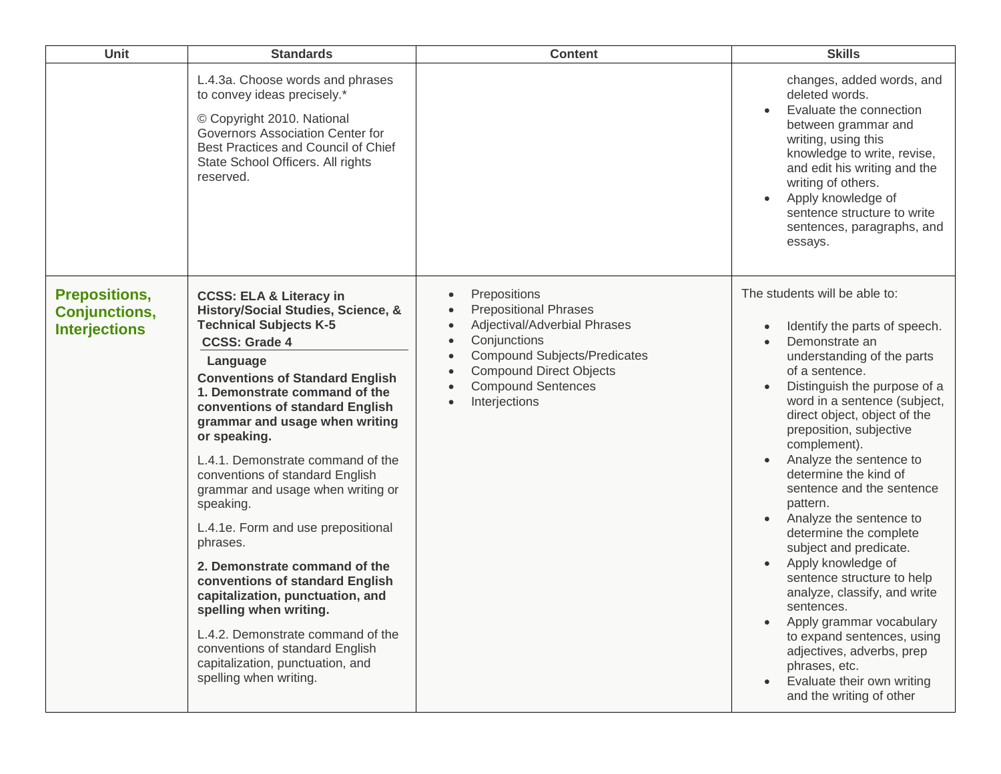| <b>Unit</b>                                                          | <b>Standards</b>                                                                                                                                                                                                                                                                                                                                                                                                                                                                                                                                                                                                                                                                                                                                                  | <b>Content</b>                                                                                                                                                                                                                                                                                    | <b>Skills</b>                                                                                                                                                                                                                                                                                                                                                                                                                                                                                                                                                                                                                                                                                                                                                                                |
|----------------------------------------------------------------------|-------------------------------------------------------------------------------------------------------------------------------------------------------------------------------------------------------------------------------------------------------------------------------------------------------------------------------------------------------------------------------------------------------------------------------------------------------------------------------------------------------------------------------------------------------------------------------------------------------------------------------------------------------------------------------------------------------------------------------------------------------------------|---------------------------------------------------------------------------------------------------------------------------------------------------------------------------------------------------------------------------------------------------------------------------------------------------|----------------------------------------------------------------------------------------------------------------------------------------------------------------------------------------------------------------------------------------------------------------------------------------------------------------------------------------------------------------------------------------------------------------------------------------------------------------------------------------------------------------------------------------------------------------------------------------------------------------------------------------------------------------------------------------------------------------------------------------------------------------------------------------------|
|                                                                      | L.4.3a. Choose words and phrases<br>to convey ideas precisely.*<br>© Copyright 2010. National<br>Governors Association Center for<br>Best Practices and Council of Chief<br>State School Officers. All rights<br>reserved.                                                                                                                                                                                                                                                                                                                                                                                                                                                                                                                                        |                                                                                                                                                                                                                                                                                                   | changes, added words, and<br>deleted words.<br>Evaluate the connection<br>between grammar and<br>writing, using this<br>knowledge to write, revise,<br>and edit his writing and the<br>writing of others.<br>Apply knowledge of<br>$\bullet$<br>sentence structure to write<br>sentences, paragraphs, and<br>essays.                                                                                                                                                                                                                                                                                                                                                                                                                                                                         |
| <b>Prepositions,</b><br><b>Conjunctions,</b><br><b>Interjections</b> | <b>CCSS: ELA &amp; Literacy in</b><br>History/Social Studies, Science, &<br><b>Technical Subjects K-5</b><br><b>CCSS: Grade 4</b><br>Language<br><b>Conventions of Standard English</b><br>1. Demonstrate command of the<br>conventions of standard English<br>grammar and usage when writing<br>or speaking.<br>L.4.1. Demonstrate command of the<br>conventions of standard English<br>grammar and usage when writing or<br>speaking.<br>L.4.1e. Form and use prepositional<br>phrases.<br>2. Demonstrate command of the<br>conventions of standard English<br>capitalization, punctuation, and<br>spelling when writing.<br>L.4.2. Demonstrate command of the<br>conventions of standard English<br>capitalization, punctuation, and<br>spelling when writing. | Prepositions<br>$\bullet$<br><b>Prepositional Phrases</b><br>$\bullet$<br>Adjectival/Adverbial Phrases<br>$\bullet$<br>Conjunctions<br>$\bullet$<br><b>Compound Subjects/Predicates</b><br>$\bullet$<br><b>Compound Direct Objects</b><br>$\bullet$<br><b>Compound Sentences</b><br>Interjections | The students will be able to:<br>Identify the parts of speech.<br>$\bullet$<br>Demonstrate an<br>understanding of the parts<br>of a sentence.<br>Distinguish the purpose of a<br>$\bullet$<br>word in a sentence (subject,<br>direct object, object of the<br>preposition, subjective<br>complement).<br>Analyze the sentence to<br>determine the kind of<br>sentence and the sentence<br>pattern.<br>Analyze the sentence to<br>$\bullet$<br>determine the complete<br>subject and predicate.<br>Apply knowledge of<br>sentence structure to help<br>analyze, classify, and write<br>sentences.<br>Apply grammar vocabulary<br>$\bullet$<br>to expand sentences, using<br>adjectives, adverbs, prep<br>phrases, etc.<br>Evaluate their own writing<br>$\bullet$<br>and the writing of other |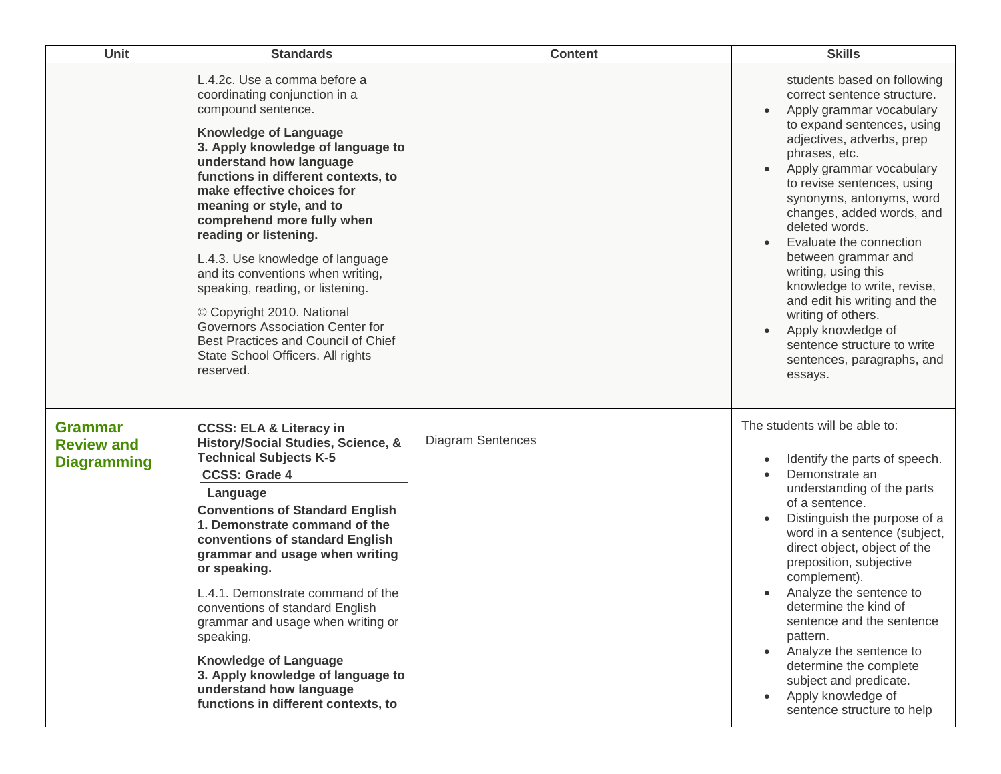| Unit                                                      | <b>Standards</b>                                                                                                                                                                                                                                                                                                                                                                                                                                                                                                                                                                                                    | <b>Content</b>           | <b>Skills</b>                                                                                                                                                                                                                                                                                                                                                                                                                                                                                                                                                       |
|-----------------------------------------------------------|---------------------------------------------------------------------------------------------------------------------------------------------------------------------------------------------------------------------------------------------------------------------------------------------------------------------------------------------------------------------------------------------------------------------------------------------------------------------------------------------------------------------------------------------------------------------------------------------------------------------|--------------------------|---------------------------------------------------------------------------------------------------------------------------------------------------------------------------------------------------------------------------------------------------------------------------------------------------------------------------------------------------------------------------------------------------------------------------------------------------------------------------------------------------------------------------------------------------------------------|
|                                                           | L.4.2c. Use a comma before a<br>coordinating conjunction in a<br>compound sentence.<br><b>Knowledge of Language</b><br>3. Apply knowledge of language to<br>understand how language<br>functions in different contexts, to<br>make effective choices for<br>meaning or style, and to<br>comprehend more fully when<br>reading or listening.<br>L.4.3. Use knowledge of language<br>and its conventions when writing,<br>speaking, reading, or listening.<br>© Copyright 2010. National<br>Governors Association Center for<br>Best Practices and Council of Chief<br>State School Officers. All rights<br>reserved. |                          | students based on following<br>correct sentence structure.<br>Apply grammar vocabulary<br>to expand sentences, using<br>adjectives, adverbs, prep<br>phrases, etc.<br>Apply grammar vocabulary<br>to revise sentences, using<br>synonyms, antonyms, word<br>changes, added words, and<br>deleted words.<br>Evaluate the connection<br>between grammar and<br>writing, using this<br>knowledge to write, revise,<br>and edit his writing and the<br>writing of others.<br>Apply knowledge of<br>sentence structure to write<br>sentences, paragraphs, and<br>essays. |
| <b>Grammar</b><br><b>Review and</b><br><b>Diagramming</b> | <b>CCSS: ELA &amp; Literacy in</b><br>History/Social Studies, Science, &<br><b>Technical Subjects K-5</b><br><b>CCSS: Grade 4</b><br>Language<br><b>Conventions of Standard English</b><br>1. Demonstrate command of the<br>conventions of standard English<br>grammar and usage when writing<br>or speaking.<br>L.4.1. Demonstrate command of the<br>conventions of standard English<br>grammar and usage when writing or<br>speaking.<br><b>Knowledge of Language</b><br>3. Apply knowledge of language to<br>understand how language<br>functions in different contexts, to                                      | <b>Diagram Sentences</b> | The students will be able to:<br>Identify the parts of speech.<br>Demonstrate an<br>understanding of the parts<br>of a sentence.<br>Distinguish the purpose of a<br>word in a sentence (subject,<br>direct object, object of the<br>preposition, subjective<br>complement).<br>Analyze the sentence to<br>determine the kind of<br>sentence and the sentence<br>pattern.<br>Analyze the sentence to<br>$\bullet$<br>determine the complete<br>subject and predicate.<br>Apply knowledge of<br>sentence structure to help                                            |